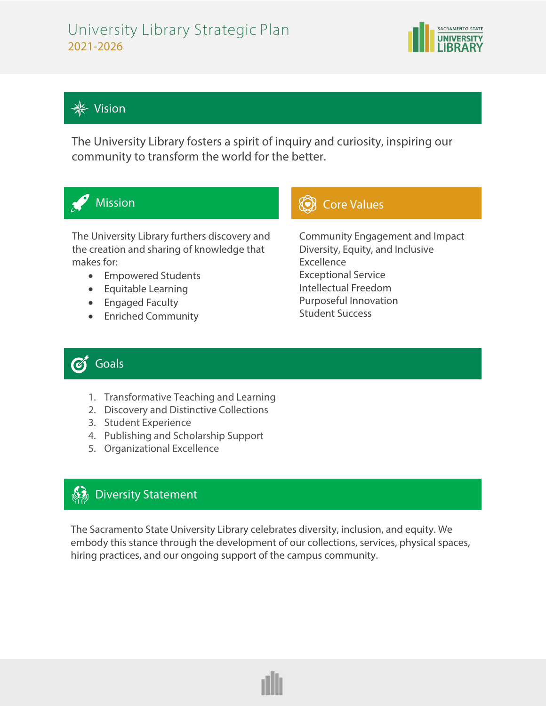## University Library Strategic Plan 2021-2026





 $\frac{1}{\sqrt{2}}$ 

֦֘

Ī

 $\overline{a}$ 

The University Library fosters a spirit of inquiry and curiosity, inspiring our community to transform the world for the better.



The University Library furthers discovery and the creation and sharing of knowledge that makes for:

- Empowered Students
- Equitable Learning
- Engaged Faculty
- Enriched Community

## Mission **Core Values Core Values**

Community Engagement and Impact Diversity, Equity, and Inclusive Excellence Exceptional Service Intellectual Freedom Purposeful Innovation Student Success

#### Goals  $\boldsymbol{\mathscr{C}}$

- 1. Transformative Teaching and Learning
- 2. Discovery and Distinctive Collections
- 3. Student Experience
- 4. Publishing and Scholarship Support
- 5. Organizational Excellence

# **Diversity Statement**

The Sacramento State University Library celebrates diversity, inclusion, and equity. We embody this stance through the development of our collections, services, physical spaces, hiring practices, and our ongoing support of the campus community.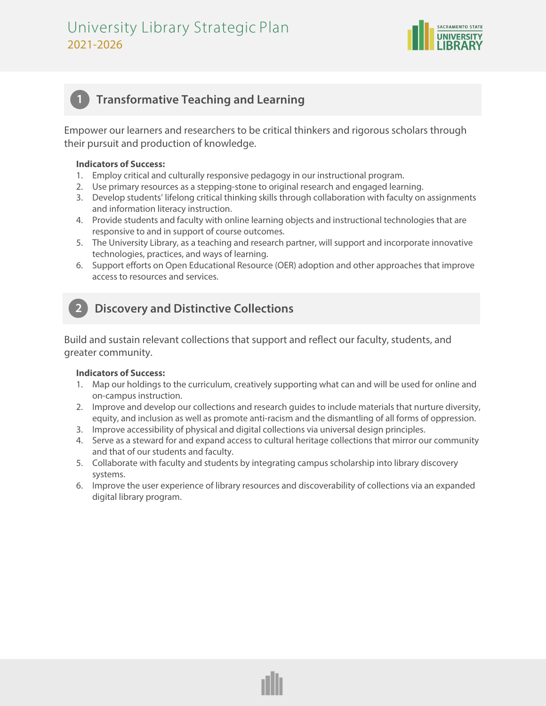

## **1 Transformative Teaching and Learning**

Empower our learners and researchers to be critical thinkers and rigorous scholars through their pursuit and production of knowledge.

### **Indicators of Success:**

- 1. Employ critical and culturally responsive pedagogy in our instructional program.
- 2. Use primary resources as a stepping-stone to original research and engaged learning.
- 3. Develop students' lifelong critical thinking skills through collaboration with faculty on assignments and information literacy instruction.
- 4. Provide students and faculty with online learning objects and instructional technologies that are responsive to and in support of course outcomes.
- 5. The University Library, as a teaching and research partner, will support and incorporate innovative technologies, practices, and ways of learning.
- 6. Support efforts on Open Educational Resource (OER) adoption and other approaches that improve access to resources and services.

## **2 Discovery and Distinctive Collections**

Build and sustain relevant collections that support and reflect our faculty, students, and greater community.

#### **Indicators of Success:**

- 1. Map our holdings to the curriculum, creatively supporting what can and will be used for online and on-campus instruction.
- 2. Improve and develop our collections and research guides to include materials that nurture diversity, equity, and inclusion as well as promote anti-racism and the dismantling of all forms of oppression.
- 3. Improve accessibility of physical and digital collections via universal design principles.
- 4. Serve as a steward for and expand access to cultural heritage collections that mirror our community and that of our students and faculty.
- 5. Collaborate with faculty and students by integrating campus scholarship into library discovery systems.
- 6. Improve the user experience of library resources and discoverability of collections via an expanded digital library program.